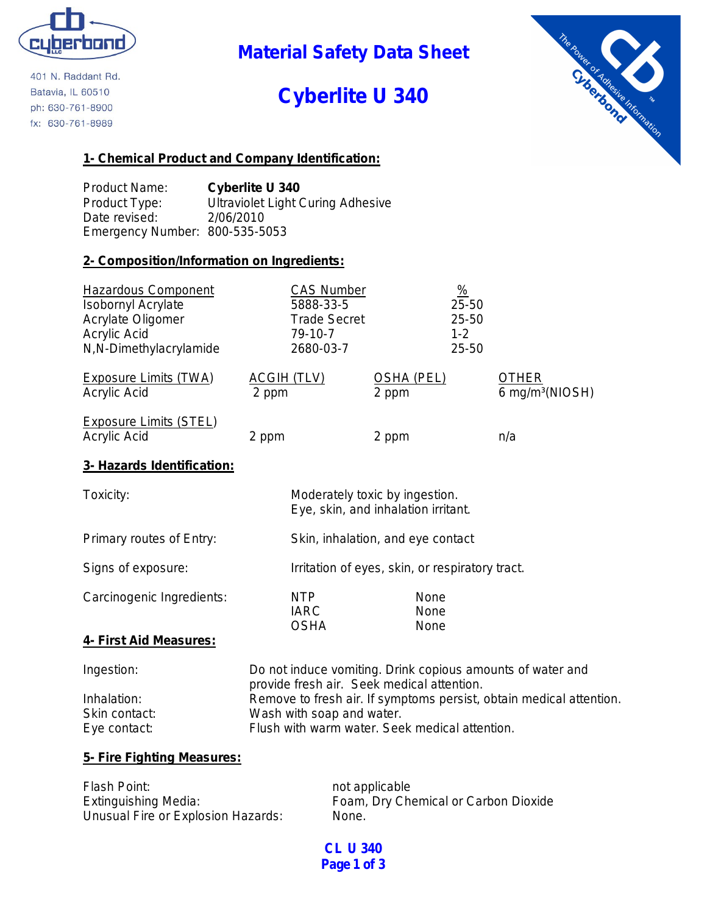

401 N. Raddant Rd. Batavia, IL 60510 ph: 630-761-8900 fx: 630-761-8989

**Material Safety Data Sheet**

# **Cyberlite U 340**



# **1- Chemical Product and Company Identification:**

Product Name: **Cyberlite U 340** Product Type: Ultraviolet Light Curing Adhesive Date revised: 2/06/2010 Emergency Number: 800-535-5053

# **2- Composition/Information on Ingredients:**

| <b>Hazardous Component</b><br><b>Isobornyl Acrylate</b><br>Acrylate Oligomer<br>Acrylic Acid<br>N,N-Dimethylacrylamide | <b>CAS Number</b><br>5888-33-5<br><b>Trade Secret</b><br>79-10-7<br>2680-03-7 |                            | $\frac{\%}{\sqrt{2}}$<br>$25 - 50$<br>25-50<br>$1 - 2$<br>$25 - 50$ |                                             |
|------------------------------------------------------------------------------------------------------------------------|-------------------------------------------------------------------------------|----------------------------|---------------------------------------------------------------------|---------------------------------------------|
| <b>Exposure Limits (TWA)</b><br>Acrylic Acid                                                                           | <u>ACGIH (TLV)</u><br>2 ppm                                                   | <b>OSHA (PEL)</b><br>2 ppm |                                                                     | <b>OTHER</b><br>6 mg/m <sup>3</sup> (NIOSH) |
| Exposure Limits (STEL)<br>Acrylic Acid                                                                                 | 2 ppm                                                                         | 2 ppm                      |                                                                     | n/a                                         |
| 3- Hazards Identification:                                                                                             |                                                                               |                            |                                                                     |                                             |

| Toxicity:                 | Moderately toxic by ingestion.<br>Eye, skin, and inhalation irritant. |                      |
|---------------------------|-----------------------------------------------------------------------|----------------------|
| Primary routes of Entry:  | Skin, inhalation, and eye contact                                     |                      |
| Signs of exposure:        | Irritation of eyes, skin, or respiratory tract.                       |                      |
| Carcinogenic Ingredients: | <b>NTP</b><br><b>IARC</b><br><b>OSHA</b>                              | None<br>None<br>None |
| 4- First Aid Measures:    |                                                                       |                      |

Ingestion: Do not induce vomiting. Drink copious amounts of water and provide fresh air. Seek medical attention. Inhalation: Remove to fresh air. If symptoms persist, obtain medical attention. Skin contact: Wash with soap and water. Eye contact: Flush with warm water. Seek medical attention.

# **5- Fire Fighting Measures:**

| Flash Point:                       | not applicable                       |
|------------------------------------|--------------------------------------|
| Extinguishing Media:               | Foam, Dry Chemical or Carbon Dioxide |
| Unusual Fire or Explosion Hazards: | None.                                |

**CL U 340 Page 1 of 3**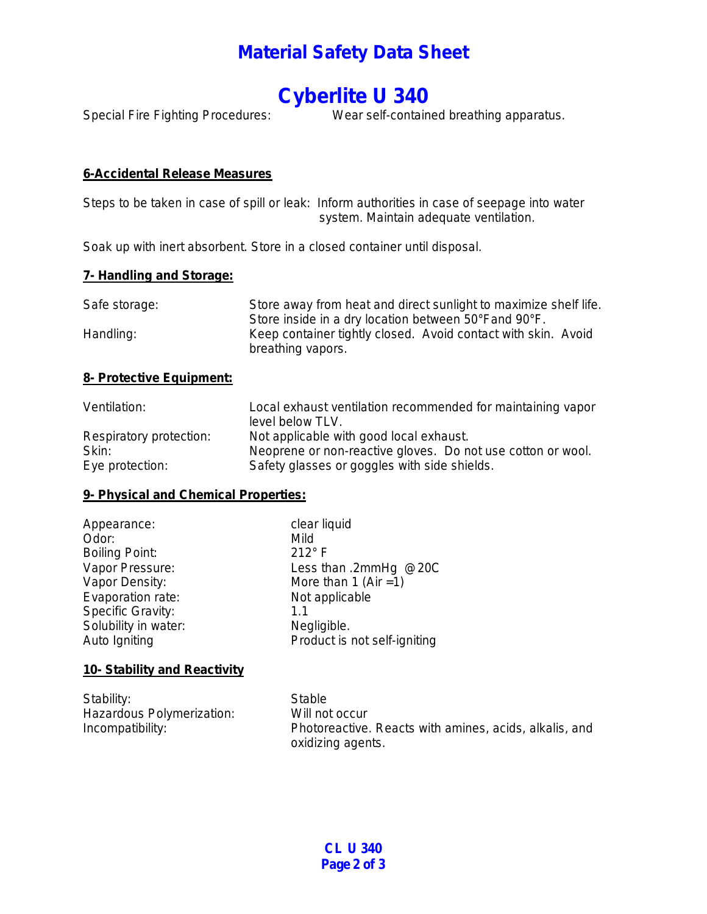# **Material Safety Data Sheet**

# **Cyberlite U 340**

Special Fire Fighting Procedures: Wear self-contained breathing apparatus.

# **6-Accidental Release Measures**

Steps to be taken in case of spill or leak: Inform authorities in case of seepage into water system. Maintain adequate ventilation.

Soak up with inert absorbent. Store in a closed container until disposal.

### **7- Handling and Storage:**

| Safe storage: | Store away from heat and direct sunlight to maximize shelf life.                   |
|---------------|------------------------------------------------------------------------------------|
|               | Store inside in a dry location between 50°Fand 90°F.                               |
| Handling:     | Keep container tightly closed. Avoid contact with skin. Avoid<br>breathing vapors. |

### **8- Protective Equipment:**

| Ventilation:            | Local exhaust ventilation recommended for maintaining vapor<br>level below TLV. |
|-------------------------|---------------------------------------------------------------------------------|
| Respiratory protection: | Not applicable with good local exhaust.                                         |
| Skin:                   | Neoprene or non-reactive gloves. Do not use cotton or wool.                     |
| Eye protection:         | Safety glasses or goggles with side shields.                                    |

# **9- Physical and Chemical Properties:**

| Appearance:           | clear liquid                 |
|-----------------------|------------------------------|
| Odor:                 | Mild                         |
| <b>Boiling Point:</b> | $212^{\circ}$ F              |
| Vapor Pressure:       | Less than .2mmHg @20C        |
| Vapor Density:        | More than 1 (Air = 1)        |
| Evaporation rate:     | Not applicable               |
| Specific Gravity:     | 1.1                          |
| Solubility in water:  | Negligible.                  |
| Auto Igniting         | Product is not self-igniting |
|                       |                              |

### **10- Stability and Reactivity**

| Stability:                | Stable                                                 |
|---------------------------|--------------------------------------------------------|
| Hazardous Polymerization: | Will not occur                                         |
| Incompatibility:          | Photoreactive. Reacts with amines, acids, alkalis, and |
|                           | oxidizing agents.                                      |